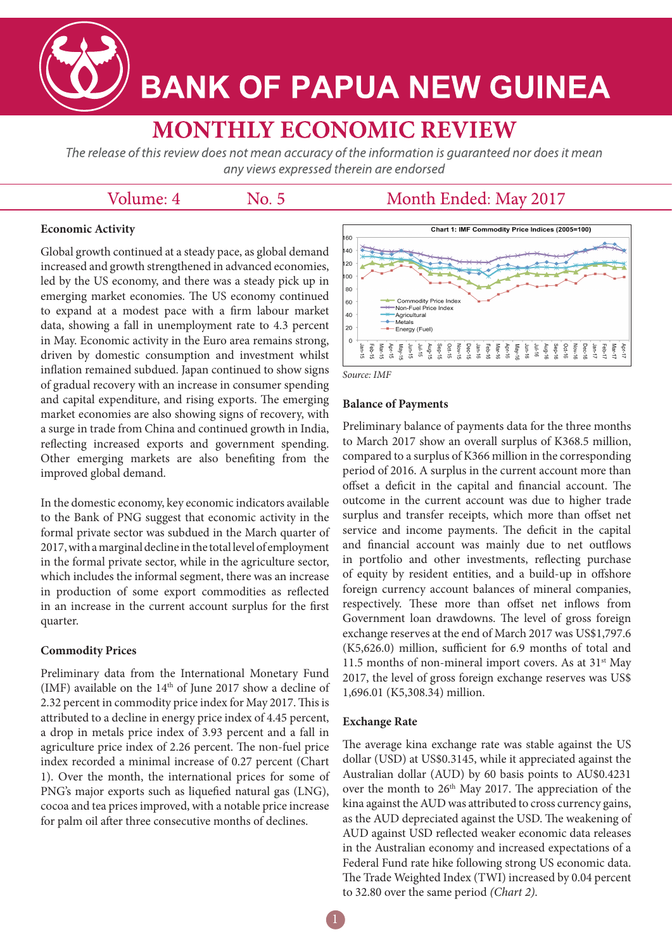

# **BANK OF PAPUA NEW GUINEA**

# **MONTHLY ECONOMIC REVIEW**

The release of this review does not mean accuracy of the information is guaranteed nor does it mean any views expressed therein are endorsed

# Volume: 4

No. 5

## Month Ended: May 2017

### **Economic Activity**

Global growth continued at a steady pace, as global demand increased and growth strengthened in advanced economies, led by the US economy, and there was a steady pick up in emerging market economies. The US economy continued to expand at a modest pace with a firm labour market data, showing a fall in unemployment rate to 4.3 percent in May. Economic activity in the Euro area remains strong, driven by domestic consumption and investment whilst inflation remained subdued. Japan continued to show signs of gradual recovery with an increase in consumer spending and capital expenditure, and rising exports. The emerging market economies are also showing signs of recovery, with a surge in trade from China and continued growth in India, reflecting increased exports and government spending. Other emerging markets are also benefiting from the improved global demand.

In the domestic economy, key economic indicators available to the Bank of PNG suggest that economic activity in the formal private sector was subdued in the March quarter of 2017, with a marginal decline in the total level of employment in the formal private sector, while in the agriculture sector, which includes the informal segment, there was an increase in production of some export commodities as reflected in an increase in the current account surplus for the first quarter.

#### **Commodity Prices**

Preliminary data from the International Monetary Fund (IMF) available on the  $14<sup>th</sup>$  of June 2017 show a decline of 2.32 percent in commodity price index for May 2017. This is attributed to a decline in energy price index of 4.45 percent, a drop in metals price index of 3.93 percent and a fall in agriculture price index of 2.26 percent. The non-fuel price index recorded a minimal increase of 0.27 percent (Chart 1). Over the month, the international prices for some of PNG's major exports such as liquefied natural gas (LNG), cocoa and tea prices improved, with a notable price increase for palm oil after three consecutive months of declines.





#### **Balance of Payments**

Preliminary balance of payments data for the three months to March 2017 show an overall surplus of K368.5 million, compared to a surplus of K366 million in the corresponding period of 2016. A surplus in the current account more than offset a deficit in the capital and financial account. The outcome in the current account was due to higher trade surplus and transfer receipts, which more than offset net service and income payments. The deficit in the capital and financial account was mainly due to net outflows in portfolio and other investments, reflecting purchase of equity by resident entities, and a build-up in offshore foreign currency account balances of mineral companies, respectively. These more than offset net inflows from Government loan drawdowns. The level of gross foreign exchange reserves at the end of March 2017 was US\$1,797.6 (K5,626.0) million, sufficient for 6.9 months of total and 11.5 months of non-mineral import covers. As at  $31<sup>st</sup>$  May 2017, the level of gross foreign exchange reserves was US\$ 1,696.01 (K5,308.34) million.

#### **Exchange Rate**

The average kina exchange rate was stable against the US dollar (USD) at US\$0.3145, while it appreciated against the Australian dollar (AUD) by 60 basis points to AU\$0.4231 over the month to 26<sup>th</sup> May 2017. The appreciation of the kina against the AUD was attributed to cross currency gains, as the AUD depreciated against the USD. The weakening of AUD against USD reflected weaker economic data releases in the Australian economy and increased expectations of a Federal Fund rate hike following strong US economic data. The Trade Weighted Index (TWI) increased by 0.04 percent to 32.80 over the same period *(Chart 2)*.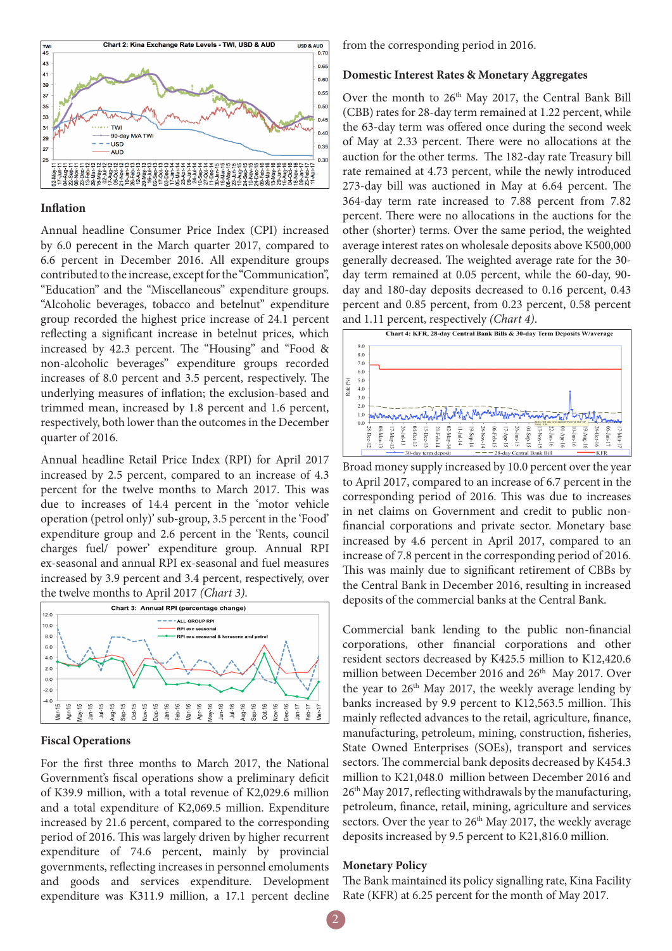

#### **Inflation**

Annual headline Consumer Price Index (CPI) increased by 6.0 perecent in the March quarter 2017, compared to 6.6 percent in December 2016. All expenditure groups contributed to the increase, except for the "Communication", "Education" and the "Miscellaneous" expenditure groups. "Alcoholic beverages, tobacco and betelnut" expenditure group recorded the highest price increase of 24.1 percent reflecting a significant increase in betelnut prices, which increased by 42.3 percent. The "Housing" and "Food & non-alcoholic beverages" expenditure groups recorded increases of 8.0 percent and 3.5 percent, respectively. The underlying measures of inflation; the exclusion-based and trimmed mean, increased by 1.8 percent and 1.6 percent, respectively, both lower than the outcomes in the December quarter of 2016.

Annual headline Retail Price Index (RPI) for April 2017 increased by 2.5 percent, compared to an increase of 4.3 percent for the twelve months to March 2017. This was due to increases of 14.4 percent in the 'motor vehicle operation (petrol only)' sub-group, 3.5 percent in the 'Food' expenditure group and 2.6 percent in the 'Rents, council charges fuel/ power' expenditure group. Annual RPI ex-seasonal and annual RPI ex-seasonal and fuel measures increased by 3.9 percent and 3.4 percent, respectively, over the twelve months to April 2017 *(Chart 3)*.



#### **Fiscal Operations**

For the first three months to March 2017, the National Government's fiscal operations show a preliminary deficit of K39.9 million, with a total revenue of K2,029.6 million and a total expenditure of K2,069.5 million. Expenditure increased by 21.6 percent, compared to the corresponding period of 2016. This was largely driven by higher recurrent expenditure of 74.6 percent, mainly by provincial governments, reflecting increases in personnel emoluments and goods and services expenditure. Development expenditure was K311.9 million, a 17.1 percent decline

from the corresponding period in 2016.

#### **Domestic Interest Rates & Monetary Aggregates**

Over the month to 26<sup>th</sup> May 2017, the Central Bank Bill (CBB) rates for 28-day term remained at 1.22 percent, while the 63-day term was offered once during the second week of May at 2.33 percent. There were no allocations at the auction for the other terms. The 182-day rate Treasury bill rate remained at 4.73 percent, while the newly introduced 273-day bill was auctioned in May at 6.64 percent. The 364-day term rate increased to 7.88 percent from 7.82 percent. There were no allocations in the auctions for the other (shorter) terms. Over the same period, the weighted average interest rates on wholesale deposits above K500,000 generally decreased. The weighted average rate for the 30 day term remained at 0.05 percent, while the 60-day, 90 day and 180-day deposits decreased to 0.16 percent, 0.43 percent and 0.85 percent, from 0.23 percent, 0.58 percent and 1.11 percent, respectively *(Chart 4)*.



Broad money supply increased by 10.0 percent over the year to April 2017, compared to an increase of 6.7 percent in the corresponding period of 2016. This was due to increases in net claims on Government and credit to public nonfinancial corporations and private sector. Monetary base increased by 4.6 percent in April 2017, compared to an increase of 7.8 percent in the corresponding period of 2016. This was mainly due to significant retirement of CBBs by the Central Bank in December 2016, resulting in increased deposits of the commercial banks at the Central Bank.

Commercial bank lending to the public non-financial corporations, other financial corporations and other resident sectors decreased by K425.5 million to K12,420.6 million between December 2016 and 26<sup>th</sup> May 2017. Over the year to  $26<sup>th</sup>$  May 2017, the weekly average lending by banks increased by 9.9 percent to K12,563.5 million. This mainly reflected advances to the retail, agriculture, finance, manufacturing, petroleum, mining, construction, fisheries, State Owned Enterprises (SOEs), transport and services sectors. The commercial bank deposits decreased by K454.3 million to K21,048.0 million between December 2016 and 26<sup>th</sup> May 2017, reflecting withdrawals by the manufacturing, petroleum, finance, retail, mining, agriculture and services sectors. Over the year to 26<sup>th</sup> May 2017, the weekly average deposits increased by 9.5 percent to K21,816.0 million.

#### **Monetary Policy**

The Bank maintained its policy signalling rate, Kina Facility Rate (KFR) at 6.25 percent for the month of May 2017.